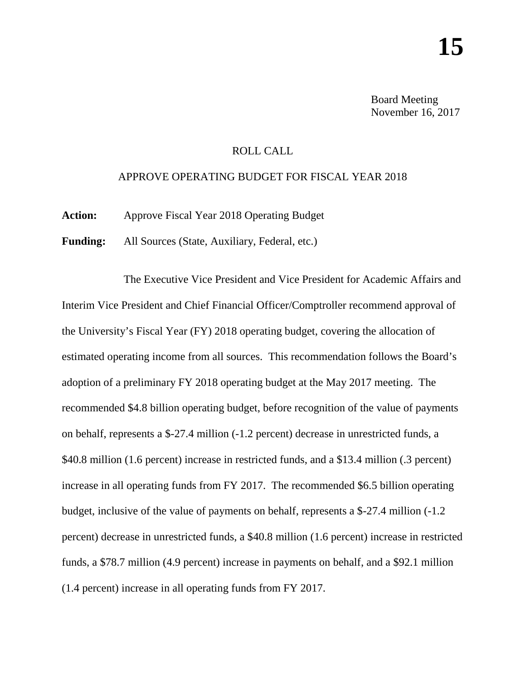Board Meeting November 16, 2017

## ROLL CALL

## APPROVE OPERATING BUDGET FOR FISCAL YEAR 2018

**Action:** Approve Fiscal Year 2018 Operating Budget

**Funding:** All Sources (State, Auxiliary, Federal, etc.)

The Executive Vice President and Vice President for Academic Affairs and Interim Vice President and Chief Financial Officer/Comptroller recommend approval of the University's Fiscal Year (FY) 2018 operating budget, covering the allocation of estimated operating income from all sources. This recommendation follows the Board's adoption of a preliminary FY 2018 operating budget at the May 2017 meeting. The recommended \$4.8 billion operating budget, before recognition of the value of payments on behalf, represents a \$-27.4 million (-1.2 percent) decrease in unrestricted funds, a \$40.8 million (1.6 percent) increase in restricted funds, and a \$13.4 million (.3 percent) increase in all operating funds from FY 2017. The recommended \$6.5 billion operating budget, inclusive of the value of payments on behalf, represents a \$-27.4 million (-1.2 percent) decrease in unrestricted funds, a \$40.8 million (1.6 percent) increase in restricted funds, a \$78.7 million (4.9 percent) increase in payments on behalf, and a \$92.1 million (1.4 percent) increase in all operating funds from FY 2017.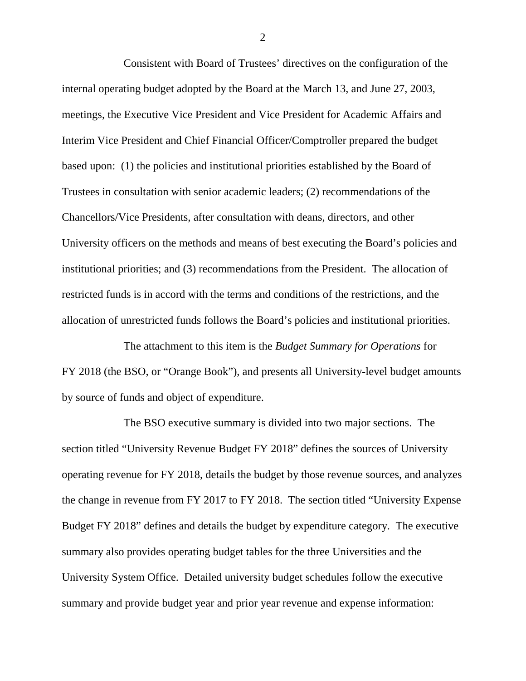Consistent with Board of Trustees' directives on the configuration of the internal operating budget adopted by the Board at the March 13, and June 27, 2003, meetings, the Executive Vice President and Vice President for Academic Affairs and Interim Vice President and Chief Financial Officer/Comptroller prepared the budget based upon: (1) the policies and institutional priorities established by the Board of Trustees in consultation with senior academic leaders; (2) recommendations of the Chancellors/Vice Presidents, after consultation with deans, directors, and other University officers on the methods and means of best executing the Board's policies and institutional priorities; and (3) recommendations from the President. The allocation of restricted funds is in accord with the terms and conditions of the restrictions, and the allocation of unrestricted funds follows the Board's policies and institutional priorities.

The attachment to this item is the *Budget Summary for Operations* for FY 2018 (the BSO, or "Orange Book"), and presents all University-level budget amounts by source of funds and object of expenditure.

The BSO executive summary is divided into two major sections. The section titled "University Revenue Budget FY 2018" defines the sources of University operating revenue for FY 2018, details the budget by those revenue sources, and analyzes the change in revenue from FY 2017 to FY 2018. The section titled "University Expense Budget FY 2018" defines and details the budget by expenditure category. The executive summary also provides operating budget tables for the three Universities and the University System Office. Detailed university budget schedules follow the executive summary and provide budget year and prior year revenue and expense information:

2